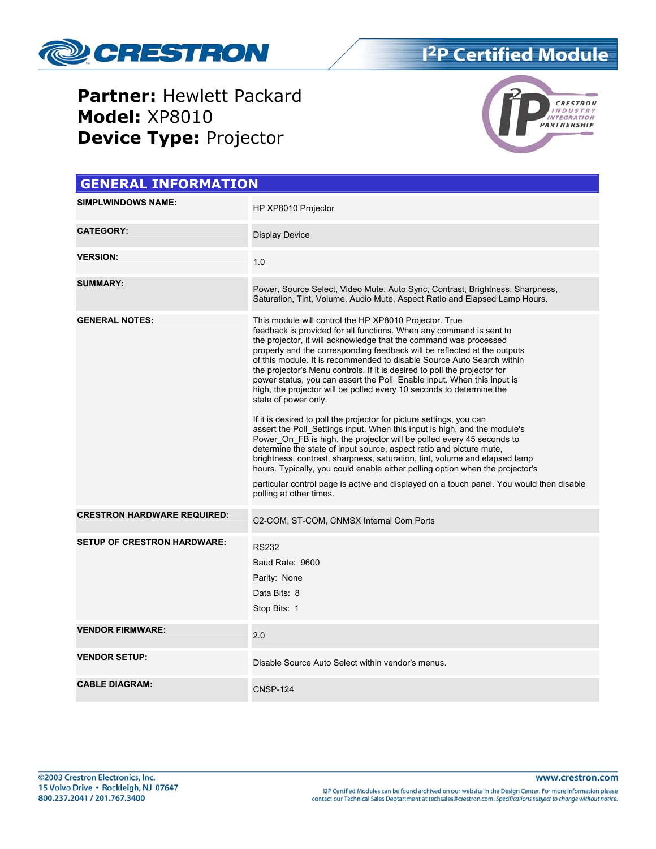

**Partner:** Hewlett Packard **Model:** XP8010 **Device Type:** Projector



| <b>GENERAL INFORMATION</b>         |                                                                                                                                                                                                                                                                                                                                                                                                                                                                                                                                                                                                                                                                                                                                                                                                                                                                                                                                                                                                                                                                                                                                                                                                            |  |  |  |
|------------------------------------|------------------------------------------------------------------------------------------------------------------------------------------------------------------------------------------------------------------------------------------------------------------------------------------------------------------------------------------------------------------------------------------------------------------------------------------------------------------------------------------------------------------------------------------------------------------------------------------------------------------------------------------------------------------------------------------------------------------------------------------------------------------------------------------------------------------------------------------------------------------------------------------------------------------------------------------------------------------------------------------------------------------------------------------------------------------------------------------------------------------------------------------------------------------------------------------------------------|--|--|--|
| <b>SIMPLWINDOWS NAME:</b>          | HP XP8010 Projector                                                                                                                                                                                                                                                                                                                                                                                                                                                                                                                                                                                                                                                                                                                                                                                                                                                                                                                                                                                                                                                                                                                                                                                        |  |  |  |
| <b>CATEGORY:</b>                   | Display Device                                                                                                                                                                                                                                                                                                                                                                                                                                                                                                                                                                                                                                                                                                                                                                                                                                                                                                                                                                                                                                                                                                                                                                                             |  |  |  |
| <b>VERSION:</b>                    | 1.0                                                                                                                                                                                                                                                                                                                                                                                                                                                                                                                                                                                                                                                                                                                                                                                                                                                                                                                                                                                                                                                                                                                                                                                                        |  |  |  |
| <b>SUMMARY:</b>                    | Power, Source Select, Video Mute, Auto Sync, Contrast, Brightness, Sharpness,<br>Saturation, Tint, Volume, Audio Mute, Aspect Ratio and Elapsed Lamp Hours.                                                                                                                                                                                                                                                                                                                                                                                                                                                                                                                                                                                                                                                                                                                                                                                                                                                                                                                                                                                                                                                |  |  |  |
| <b>GENERAL NOTES:</b>              | This module will control the HP XP8010 Projector. True<br>feedback is provided for all functions. When any command is sent to<br>the projector, it will acknowledge that the command was processed<br>properly and the corresponding feedback will be reflected at the outputs<br>of this module. It is recommended to disable Source Auto Search within<br>the projector's Menu controls. If it is desired to poll the projector for<br>power status, you can assert the Poll Enable input. When this input is<br>high, the projector will be polled every 10 seconds to determine the<br>state of power only.<br>If it is desired to poll the projector for picture settings, you can<br>assert the Poll Settings input. When this input is high, and the module's<br>Power On FB is high, the projector will be polled every 45 seconds to<br>determine the state of input source, aspect ratio and picture mute,<br>brightness, contrast, sharpness, saturation, tint, volume and elapsed lamp<br>hours. Typically, you could enable either polling option when the projector's<br>particular control page is active and displayed on a touch panel. You would then disable<br>polling at other times. |  |  |  |
| <b>CRESTRON HARDWARE REQUIRED:</b> | C2-COM, ST-COM, CNMSX Internal Com Ports                                                                                                                                                                                                                                                                                                                                                                                                                                                                                                                                                                                                                                                                                                                                                                                                                                                                                                                                                                                                                                                                                                                                                                   |  |  |  |
| <b>SETUP OF CRESTRON HARDWARE:</b> | <b>RS232</b><br>Baud Rate: 9600<br>Parity: None<br>Data Bits: 8<br>Stop Bits: 1                                                                                                                                                                                                                                                                                                                                                                                                                                                                                                                                                                                                                                                                                                                                                                                                                                                                                                                                                                                                                                                                                                                            |  |  |  |
| <b>VENDOR FIRMWARE:</b>            | 2.0                                                                                                                                                                                                                                                                                                                                                                                                                                                                                                                                                                                                                                                                                                                                                                                                                                                                                                                                                                                                                                                                                                                                                                                                        |  |  |  |
| <b>VENDOR SETUP:</b>               | Disable Source Auto Select within vendor's menus.                                                                                                                                                                                                                                                                                                                                                                                                                                                                                                                                                                                                                                                                                                                                                                                                                                                                                                                                                                                                                                                                                                                                                          |  |  |  |
| <b>CABLE DIAGRAM:</b>              | <b>CNSP-124</b>                                                                                                                                                                                                                                                                                                                                                                                                                                                                                                                                                                                                                                                                                                                                                                                                                                                                                                                                                                                                                                                                                                                                                                                            |  |  |  |

I2P Certified Modules can be found archived on our website in the Design Center. For more information please<br>contact our Technical Sales Deptartment at techsales@crestron.com. Specifications subject to change without notic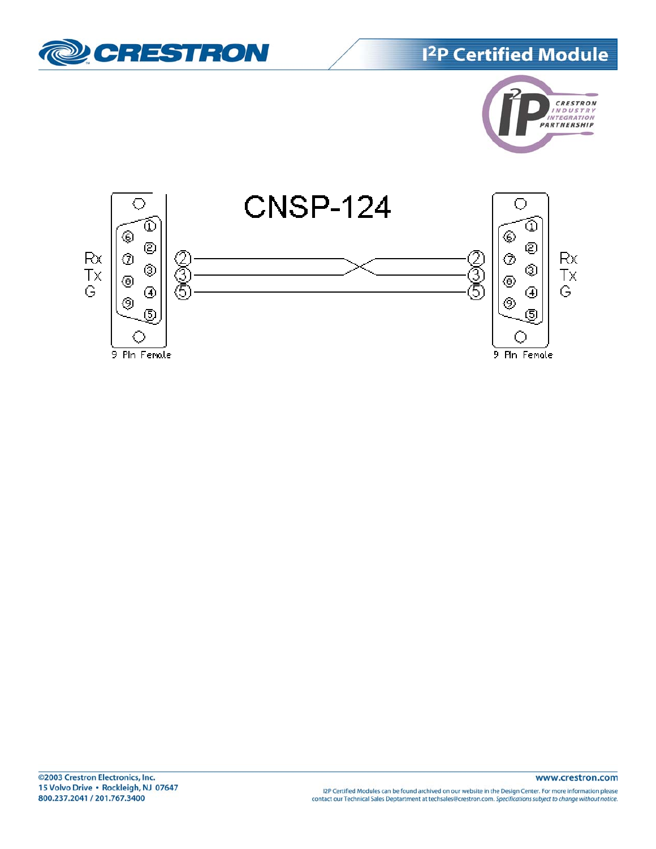







I2P Certified Modules can be found archived on our website in the Design Center. For more information please<br>contact our Technical Sales Deptartment at techsales@crestron.com. Specifications subject to change without notic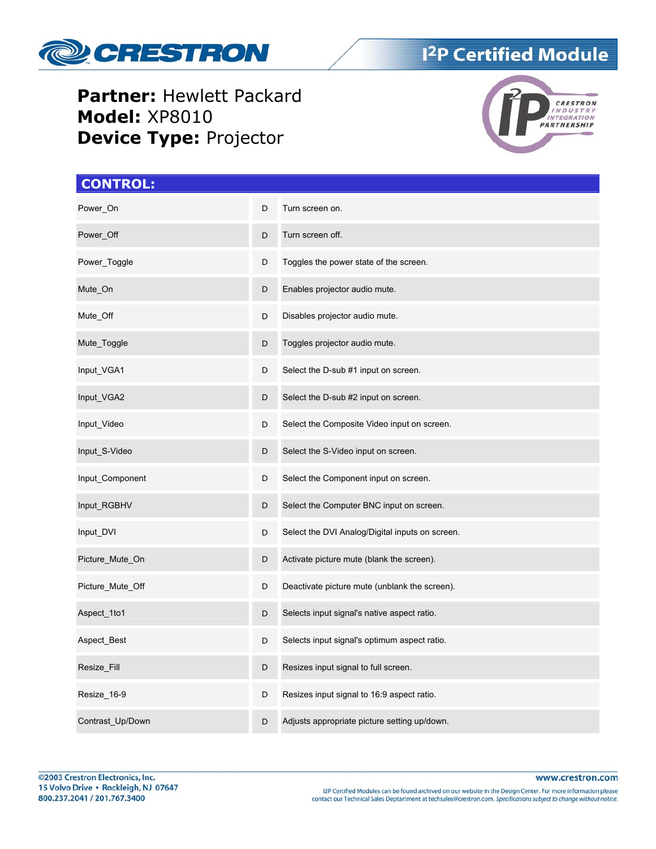

**Partner:** Hewlett Packard **Model:** XP8010 **Device Type:** Projector



#### **CONTROL:**

| Power_On         | D | Turn screen on.                                 |
|------------------|---|-------------------------------------------------|
| Power_Off        | D | Turn screen off.                                |
| Power_Toggle     | D | Toggles the power state of the screen.          |
| Mute_On          | D | Enables projector audio mute.                   |
| Mute_Off         | D | Disables projector audio mute.                  |
| Mute_Toggle      | D | Toggles projector audio mute.                   |
| Input_VGA1       | D | Select the D-sub #1 input on screen.            |
| Input_VGA2       | D | Select the D-sub #2 input on screen.            |
| Input_Video      | D | Select the Composite Video input on screen.     |
| Input_S-Video    | D | Select the S-Video input on screen.             |
| Input_Component  | D | Select the Component input on screen.           |
| Input_RGBHV      | D | Select the Computer BNC input on screen.        |
| Input_DVI        | D | Select the DVI Analog/Digital inputs on screen. |
| Picture_Mute_On  | D | Activate picture mute (blank the screen).       |
| Picture_Mute_Off | D | Deactivate picture mute (unblank the screen).   |
| Aspect_1to1      | D | Selects input signal's native aspect ratio.     |
| Aspect_Best      | D | Selects input signal's optimum aspect ratio.    |
| Resize_Fill      | D | Resizes input signal to full screen.            |
| Resize_16-9      | D | Resizes input signal to 16:9 aspect ratio.      |
| Contrast_Up/Down | D | Adjusts appropriate picture setting up/down.    |

I2P Certified Modules can be found archived on our website in the Design Center. For more information please<br>contact our Technical Sales Deptartment at techsales@crestron.com. Specifications subject to change without notic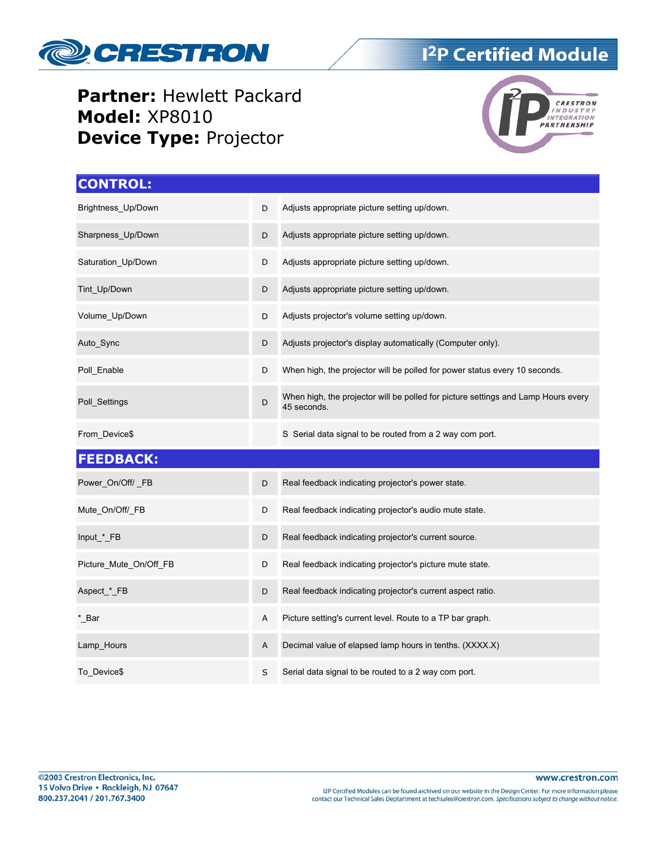

#### **Partner:** Hewlett Packard **Model:** XP8010 **Device Type:** Projector



| <b>CONTROL:</b>        |   |                                                                                                  |
|------------------------|---|--------------------------------------------------------------------------------------------------|
| Brightness_Up/Down     | D | Adjusts appropriate picture setting up/down.                                                     |
| Sharpness_Up/Down      | D | Adjusts appropriate picture setting up/down.                                                     |
| Saturation_Up/Down     | D | Adjusts appropriate picture setting up/down.                                                     |
| Tint_Up/Down           | D | Adjusts appropriate picture setting up/down.                                                     |
| Volume_Up/Down         | D | Adjusts projector's volume setting up/down.                                                      |
| Auto_Sync              | D | Adjusts projector's display automatically (Computer only).                                       |
| Poll_Enable            | D | When high, the projector will be polled for power status every 10 seconds.                       |
| Poll_Settings          | D | When high, the projector will be polled for picture settings and Lamp Hours every<br>45 seconds. |
| From_Device\$          |   | S Serial data signal to be routed from a 2 way com port.                                         |
| <b>FEEDBACK:</b>       |   |                                                                                                  |
| Power_On/Off/_FB       | D | Real feedback indicating projector's power state.                                                |
| Mute_On/Off/_FB        | D | Real feedback indicating projector's audio mute state.                                           |
| Input_*_FB             | D | Real feedback indicating projector's current source.                                             |
| Picture_Mute_On/Off_FB | D | Real feedback indicating projector's picture mute state.                                         |
| Aspect_*_FB            | D | Real feedback indicating projector's current aspect ratio.                                       |
| * Bar                  | Α | Picture setting's current level. Route to a TP bar graph.                                        |
| Lamp_Hours             | Α | Decimal value of elapsed lamp hours in tenths. (XXXX.X)                                          |
| To_Device\$            | S | Serial data signal to be routed to a 2 way com port.                                             |